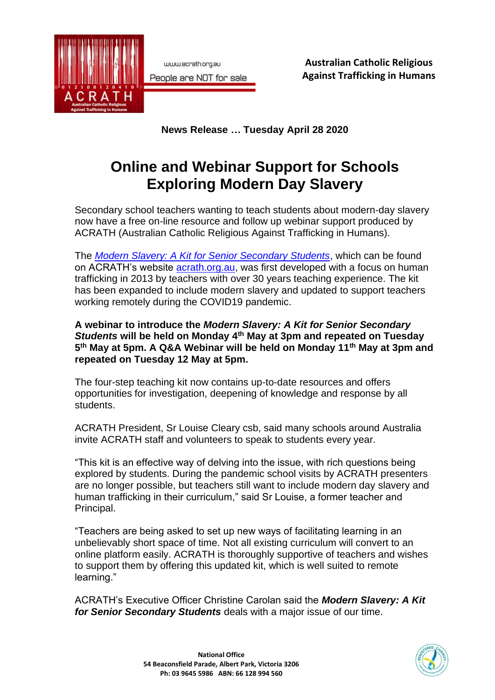

www.acrath.org.au People are NOT for sale

**Australian Catholic Religious Against Trafficking in Humans**

**News Release … Tuesday April 28 2020**

## **Online and Webinar Support for Schools Exploring Modern Day Slavery**

Secondary school teachers wanting to teach students about modern-day slavery now have a free on-line resource and follow up webinar support produced by ACRATH (Australian Catholic Religious Against Trafficking in Humans).

The *[Modern Slavery: A Kit for Senior Secondary Students](https://acrath.org.au/resources/teaching-kit/teacher-background/)*, which can be found on ACRATH's website [acrath.org.au,](https://acrath.org.au/) was first developed with a focus on human trafficking in 2013 by teachers with over 30 years teaching experience. The kit has been expanded to include modern slavery and updated to support teachers working remotely during the COVID19 pandemic.

**A webinar to introduce the** *Modern Slavery: A Kit for Senior Secondary Students* **will be held on Monday 4th May at 3pm and repeated on Tuesday 5 th May at 5pm. A Q&A Webinar will be held on Monday 11th May at 3pm and repeated on Tuesday 12 May at 5pm.**

The four-step teaching kit now contains up-to-date resources and offers opportunities for investigation, deepening of knowledge and response by all students.

ACRATH President, Sr Louise Cleary csb, said many schools around Australia invite ACRATH staff and volunteers to speak to students every year.

"This kit is an effective way of delving into the issue, with rich questions being explored by students. During the pandemic school visits by ACRATH presenters are no longer possible, but teachers still want to include modern day slavery and human trafficking in their curriculum," said Sr Louise, a former teacher and Principal.

"Teachers are being asked to set up new ways of facilitating learning in an unbelievably short space of time. Not all existing curriculum will convert to an online platform easily. ACRATH is thoroughly supportive of teachers and wishes to support them by offering this updated kit, which is well suited to remote learning."

ACRATH's Executive Officer Christine Carolan said the *Modern Slavery: A Kit for Senior Secondary Students* deals with a major issue of our time.